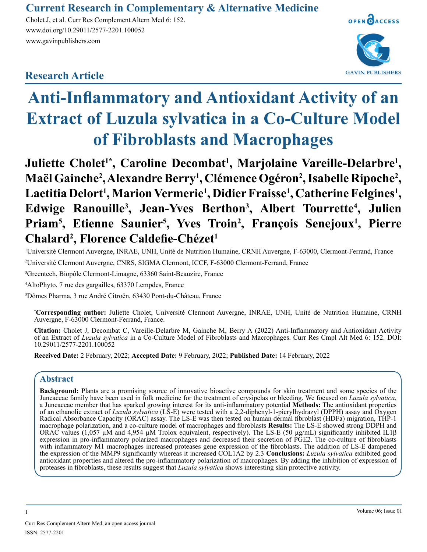# **Current Research in Complementary & Alternative Medicine**

Cholet J, et al. Curr Res Complement Altern Med 6: 152. www.doi.org/10.29011/2577-2201.100052 www.gavinpublishers.com

# **Research Article**



# **Anti-Inflammatory and Antioxidant Activity of an Extract of Luzula sylvatica in a Co-Culture Model of Fibroblasts and Macrophages**

**Juliette Cholet1\*, Caroline Decombat<sup>1</sup> , Marjolaine Vareille-Delarbre<sup>1</sup> , Maël Gainche<sup>2</sup> , Alexandre Berry<sup>1</sup> , Clémence Ogéron<sup>2</sup> , Isabelle Ripoche<sup>2</sup> ,**  Laetitia Delort<sup>1</sup>, Marion Vermerie<sup>1</sup>, Didier Fraisse<sup>1</sup>, Catherine Felgines<sup>1</sup>, **Edwige Ranouille<sup>3</sup> , Jean-Yves Berthon<sup>3</sup> , Albert Tourrette<sup>4</sup> , Julien Priam<sup>5</sup> , Etienne Saunier<sup>5</sup> , Yves Troin<sup>2</sup> , François Senejoux<sup>1</sup> , Pierre Chalard<sup>2</sup> , Florence Caldefie-Chézet<sup>1</sup>**

1 Université Clermont Auvergne, INRAE, UNH, Unité de Nutrition Humaine, CRNH Auvergne, F-63000, Clermont-Ferrand, France 2 Université Clermont Auvergne, CNRS, SIGMA Clermont, ICCF, F-63000 Clermont-Ferrand, France

3 Greentech, Biopôle Clermont-Limagne, 63360 Saint-Beauzire, France

4 AltoPhyto, 7 rue des gargailles, 63370 Lempdes, France

5 Dômes Pharma, 3 rue André Citroën, 63430 Pont-du-Château, France

\* **Corresponding author:** Juliette Cholet, Université Clermont Auvergne, INRAE, UNH, Unité de Nutrition Humaine, CRNH Auvergne, F-63000 Clermont-Ferrand, France.

**Citation:** Cholet J, Decombat C, Vareille-Delarbre M, Gainche M, Berry A (2022) Anti-Inflammatory and Antioxidant Activity of an Extract of *Luzula sylvatica* in a Co-Culture Model of Fibroblasts and Macrophages. Curr Res Cmpl Alt Med 6: 152. DOI: 10.29011/2577-2201.100052

**Received Date:** 2 February, 2022; **Accepted Date:** 9 February, 2022; **Published Date:** 14 February, 2022

# **Abstract**

Background: Plants are a promising source of innovative bioactive compounds for skin treatment and some species of the Juncaceae family have been used in folk medicine for the treatment of erysipelas or bleeding. We focuse Juncaceae family have been used in folk medicine for the treatment of erysipelas or bleeding. We focused on *Luzula sylvatica*, a Juncaceae member that has sparked growing interest for its anti-inflammatory potential **Meth** of an ethanolic extract of *Luzula sylvatica* (LS-E) were tested with a 2,2-diphenyl-1-picrylhydrazyl (DPPH) assay and Oxygen Radical Absorbance Capacity (ORAC) assay. The LS-E was then tested on human dermal fibroblast (HDFa) migration, THP-1 macrophage polarization, and a co-culture model of macrophages and fibroblasts **Results:** The LS-E showed strong DDPH and ORAC values (1,057 µM and 4,954 µM Trolox equivalent, respectively). The LS-E (50 µg/mL) significantly inhibited IL1β expression in pro-inflammatory polarized macrophages and decreased their secretion of PGE2. The co-culture of fibroblasts with inflammatory M1 macrophages increased proteases gene expression of the fibroblasts. The addition of LS-E dampened the expression of the MMP9 significantly whereas it increased COL1A2 by 2.3 **Conclusions:** *Luzula sylvatica* exhibited good antioxidant properties and altered the pro-inflammatory polarization of macrophages. By adding the inhibition of expression of proteases in fibroblasts, these results suggest that *Luzula sylvatica* shows interesting skin protective activity.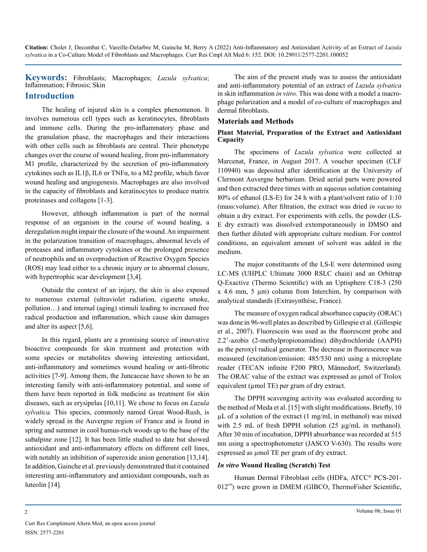**Keywords:** Fibroblasts; Macrophages; *Luzula sylvatica*; Inflammation; Fibrosis; Skin

## **Introduction**

The healing of injured skin is a complex phenomenon. It involves numerous cell types such as keratinocytes, fibroblasts and immune cells. During the pro-inflammatory phase and the granulation phase, the macrophages and their interactions with other cells such as fibroblasts are central. Their phenotype changes over the course of wound healing, from pro-inflammatory M1 profile, characterized by the secretion of pro-inflammatory cytokines such as IL1β, IL6 or TNFα, to a M2 profile, which favor wound healing and angiogenesis. Macrophages are also involved in the capacity of fibroblasts and keratinocytes to produce matrix proteinases and collagens [1-3].

However, although inflammation is part of the normal response of an organism in the course of wound healing, a deregulation might impair the closure of the wound. An impairment in the polarization transition of macrophages, abnormal levels of proteases and inflammatory cytokines or the prolonged presence of neutrophils and an overproduction of Reactive Oxygen Species (ROS) may lead either to a chronic injury or to abnormal closure, with hypertrophic scar development [3,4].

Outside the context of an injury, the skin is also exposed to numerous external (ultraviolet radiation, cigarette smoke, pollution…) and internal (aging) stimuli leading to increased free radical production and inflammation, which cause skin damages and alter its aspect [5,6].

In this regard, plants are a promising source of innovative bioactive compounds for skin treatment and protection with some species or metabolites showing interesting antioxidant, anti-inflammatory and sometimes wound healing or anti-fibrotic activities [7-9]. Among them, the Juncaceae have shown to be an interesting family with anti-inflammatory potential, and some of them have been reported in folk medicine as treatment for skin diseases, such as erysipelas [10,11]. We chose to focus on *Luzula sylvatica.* This species, commonly named Great Wood-Rush, is widely spread in the Auvergne region of France and is found in spring and summer in cool humus-rich woods up to the base of the subalpine zone [12]. It has been little studied to date but showed antioxidant and anti-inflammatory effects on different cell lines, with notably an inhibition of superoxide anion generation [13,14]. In addition, Gainche et al. previously demonstrated that it contained interesting anti-inflammatory and antioxidant compounds, such as luteolin [14].

The aim of the present study was to assess the antioxidant and anti-inflammatory potential of an extract of *Luzula sylvatica* in skin inflammation *in vitro*. This was done with a model a macrophage polarization and a model of co-culture of macrophages and dermal fibroblasts.

#### **Materials and Methods**

#### **Plant Material, Preparation of the Extract and Antioxidant Capacity**

The specimens of *Luzula sylvatica* were collected at Marcenat, France, in August 2017. A voucher specimen (CLF 110940) was deposited after identification at the University of Clermont Auvergne herbarium. Dried aerial parts were powered and then extracted three times with an aqueous solution containing 80% of ethanol (LS-E) for 24 h with a plant/solvent ratio of 1:10 (mass:volume). After filtration, the extract was dried *in vacuo* to obtain a dry extract. For experiments with cells, the powder (LS-E dry extract) was dissolved extemporaneously in DMSO and then further diluted with appropriate culture medium. For control conditions, an equivalent amount of solvent was added in the medium.

The major constituents of the LS-E were determined using LC-MS (UHPLC Ultimate 3000 RSLC chain) and an Orbitrap Q-Exactive (Thermo Scientific) with an Uptisphere C18-3 (250  $x$  4.6 mm, 5  $\mu$ m) column from Interchim, by comparison with analytical standards (Extrasynthèse, France).

The measure of oxygen radical absorbance capacity (ORAC) was done in 96-well plates as described by Gillespie et al. (Gillespie et al., 2007). Fluorescein was used as the fluorescent probe and 2.2'-azobis (2-methylpropionamidine) dihydrochloride (AAPH) as the peroxyl radical generator. The decrease in fluorescence was measured (excitation/emission: 485/530 nm) using a microplate reader (TECAN infinite F200 PRO, Männedorf, Switzerland). The ORAC value of the extract was expressed as μmol of Trolox equivalent (µmol TE) per gram of dry extract.

The DPPH scavenging activity was evaluated according to the method of Meda et al. [15] with slight modifications. Briefly, 10 µL of a solution of the extract (1 mg/mL in methanol) was mixed with 2.5 mL of fresh DPPH solution (25 µg/mL in methanol). After 30 min of incubation, DPPH absorbance was recorded at 515 nm using a spectrophotometer (JASCO V-630). The results were expressed as µmol TE per gram of dry extract.

#### *In vitro* **Wound Healing (Scratch) Test**

Human Dermal Fibroblast cells (HDFa, ATCC® PCS-201- 012™) were grown in DMEM (GIBCO, ThermoFisher Scientific,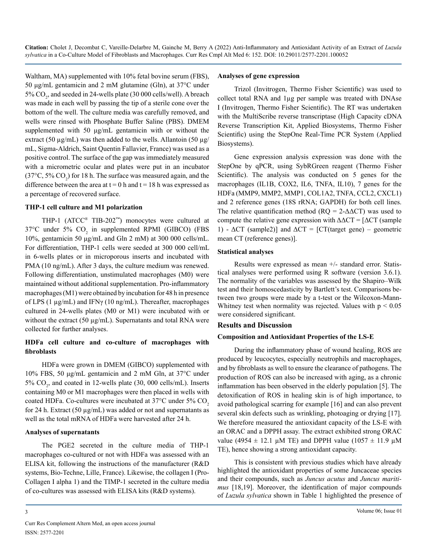Waltham, MA) supplemented with 10% fetal bovine serum (FBS), 50 μg/mL gentamicin and 2 mM glutamine (Gln), at 37°C under 5%  $CO<sub>2</sub>$ , and seeded in 24-wells plate (30 000 cells/well). A breach was made in each well by passing the tip of a sterile cone over the bottom of the well. The culture media was carefully removed, and wells were rinsed with Phosphate Buffer Saline (PBS). DMEM supplemented with 50 μg/mL gentamicin with or without the extract (50  $\mu$ g/mL) was then added to the wells. Allantoin (50  $\mu$ g/ mL, Sigma-Aldrich, Saint Quentin Fallavier, France) was used as a positive control. The surface of the gap was immediately measured with a micrometric ocular and plates were put in an incubator (37 $\degree$ C, 5% CO<sub>2</sub>) for 18 h. The surface was measured again, and the difference between the area at  $t = 0$  h and  $t = 18$  h was expressed as a percentage of recovered surface.

#### **THP-1 cell culture and M1 polarization**

THP-1 (ATCC® TIB-202™) monocytes were cultured at  $37^{\circ}$ C under 5% CO<sub>2</sub> in supplemented RPMI (GIBCO) (FBS 10%, gentamicin 50 μg/mL and Gln 2 mM) at 300 000 cells/mL. For differentiation, THP-1 cells were seeded at 300 000 cell/mL in 6-wells plates or in microporous inserts and incubated with PMA (10 ng/mL). After 3 days, the culture medium was renewed. Following differentiation, unstimulated macrophages (M0) were maintained without additional supplementation. Pro-inflammatory macrophages (M1) were obtained by incubation for 48 h in presence of LPS (1 µg/mL) and IFNγ (10 ng/mL). Thereafter, macrophages cultured in 24-wells plates (M0 or M1) were incubated with or without the extract (50 µg/mL). Supernatants and total RNA were collected for further analyses.

## **HDFa cell culture and co-culture of macrophages with fibroblasts**

HDFa were grown in DMEM (GIBCO) supplemented with 10% FBS, 50 μg/mL gentamicin and 2 mM Gln, at 37°C under 5%  $CO<sub>2</sub>$ , and coated in 12-wells plate (30, 000 cells/mL). Inserts containing M0 or M1 macrophages were then placed in wells with coated HDFa. Co-cultures were incubated at  $37^{\circ}$ C under  $5\%$  CO<sub>2</sub> for 24 h. Extract (50  $\mu$ g/mL) was added or not and supernatants as well as the total mRNA of HDFa were harvested after 24 h.

#### **Analyses of supernatants**

The PGE2 secreted in the culture media of THP-1 macrophages co-cultured or not with HDFa was assessed with an ELISA kit, following the instructions of the manufacturer (R&D systems, Bio-Techne, Lille, France). Likewise, the collagen I (Pro-Collagen I alpha 1) and the TIMP-1 secreted in the culture media of co-cultures was assessed with ELISA kits (R&D systems).

#### **Analyses of gene expression**

Trizol (Invitrogen, Thermo Fisher Scientific) was used to collect total RNA and 1µg per sample was treated with DNAse I (Invitrogen, Thermo Fisher Scientific). The RT was undertaken with the MultiScribe reverse transcriptase (High Capacity cDNA Reverse Transcription Kit, Applied Biosystems, Thermo Fisher Scientific) using the StepOne Real-Time PCR System (Applied Biosystems).

Gene expression analysis expression was done with the StepOne by qPCR, using SybRGreen reagent (Thermo Fisher Scientific). The analysis was conducted on 5 genes for the macrophages (IL1B, COX2, IL6, TNFA, IL10), 7 genes for the HDFa (MMP9, MMP2, MMP1, COL1A2, TNFA, CCL2, CXCL1) and 2 reference genes (18S rRNA; GAPDH) for both cell lines. The relative quantification method ( $RQ = 2-\Delta\Delta CT$ ) was used to compute the relative gene expression with  $\Delta \Delta CT = [\Delta CT]$  (sample 1) -  $\Delta CT$  (sample2)] and  $\Delta CT$  = [CT(target gene) – geometric mean CT (reference genes)].

#### **Statistical analyses**

Results were expressed as mean +/- standard error. Statistical analyses were performed using R software (version 3.6.1). The normality of the variables was assessed by the Shapiro–Wilk test and their homoscedasticity by Bartlett's test. Comparisons between two groups were made by a t-test or the Wilcoxon-Mann-Whitney test when normality was rejected. Values with  $p < 0.05$ were considered significant.

#### **Results and Discussion**

#### **Composition and Antioxidant Properties of the LS-E**

During the inflammatory phase of wound healing, ROS are produced by leucocytes, especially neutrophils and macrophages, and by fibroblasts as well to ensure the clearance of pathogens. The production of ROS can also be increased with aging, as a chronic inflammation has been observed in the elderly population [5]. The detoxification of ROS in healing skin is of high importance, to avoid pathological scarring for example [16] and can also prevent several skin defects such as wrinkling, photoaging or drying [17]. We therefore measured the antioxidant capacity of the LS-E with an ORAC and a DPPH assay. The extract exhibited strong ORAC value (4954  $\pm$  12.1 µM TE) and DPPH value (1057  $\pm$  11.9 µM TE), hence showing a strong antioxidant capacity.

This is consistent with previous studies which have already highlighted the antioxidant properties of some Juncaceae species and their compounds, such as *Juncus acutus* and *Juncus maritimus* [18,19]. Moreover, the identification of major compounds of *Luzula sylvatica* shown in Table 1 highlighted the presence of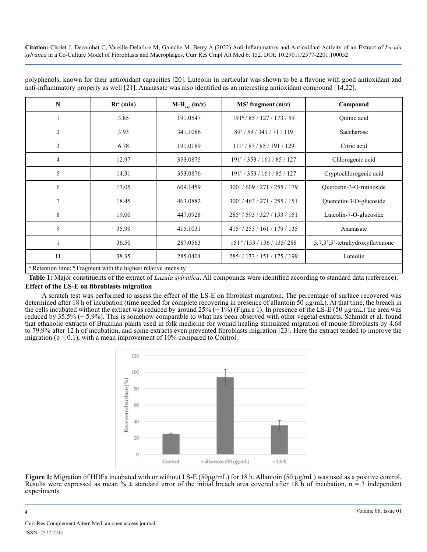| N                                                                                      | $Rta$ (min) | $M-H_{\text{exp}}(m/z)$ | MS <sup>2</sup> fragment (m/z)           | Compound                        |
|----------------------------------------------------------------------------------------|-------------|-------------------------|------------------------------------------|---------------------------------|
|                                                                                        | 3.85        | 191.0547                | $191^{\rm b}$ / 85 / 127 / 173 / 59      | <b>Ouinic</b> acid              |
| $\overline{c}$                                                                         | 3.93        | 341.1086                | $89^{\rm b}$ / 59 / 341 / 71 / 119       | Saccharose                      |
| 3                                                                                      | 6.78        | 191.0189                | $111^b / 87 / 85 / 191 / 129$            | Citric acid                     |
| 4                                                                                      | 12.97       | 353.0875                | $191^{\circ}$ / 353 / 161 / 85 / 127     | Chlorogenic acid                |
| 5                                                                                      | 14.31       | 353.0876                | $191^{\circ}$ / 353 / 161 / 85 / 127     | Cryptochlorogenic acid          |
| 6                                                                                      | 17.05       | 609.1459                | $300^{\circ}$ / 609 / 271 / 255 / 179    | Quercetin-3-O-rutinoside        |
| 7                                                                                      | 18.45       | 463.0882                | 300b/463/271/255/151                     | Quercetin-3-O-glucoside         |
| 8                                                                                      | 19.00       | 447.0928                | 285 <sup>b</sup> / 593 / 327 / 133 / 151 | Luteolin-7-O-glucoside          |
| 9                                                                                      | 35.99       | 415.1031                | $415^{\circ}$ / 253 / 161 / 179 / 135    | Ananasate                       |
|                                                                                        | 36.50       | 287.0563                | $151b$ /153 / 136 / 135/288              | 5,7,3',5'-tetrahydroxyflavanone |
| 11                                                                                     | 38.35       | 285.0404                | 285 <sup>b</sup> /133/151/175/199        | Luteolin                        |
| <sup>a</sup> Retention time: <sup>b</sup> Fragment with the highest relative intensity |             |                         |                                          |                                 |

polyphenols, known for their antioxidant capacities [20]. Luteolin in particular was shown to be a flavone with good antioxidant and anti-inflammatory property as well [21]. Ananasate was also identified as an interesting antioxidant compound [14,22].

 Retention time; **<sup>b</sup>** Fragment with the highest relative intensity

**Table 1:** Major constituents of the extract of *Luzula sylvatica*. All compounds were identified according to standard data (reference).

#### **Effect of the LS-E on fibroblasts migration**

A scratch test was performed to assess the effect of the LS-E on fibroblast migration. The percentage of surface recovered was determined after 18 h of incubation (time needed for complete recovering in presence of allantoin 50 µg/mL). At that time, the breach in the cells incubated without the extract was reduced by around 25%  $(\pm 1\%)$  (Figure 1). In presence of the LS-E (50 µg/mL) the area was reduced by 35.5% (± 5.9%). This is somehow comparable to what has been observed with other vegetal extracts. Schmidt et al. found that ethanolic extracts of Brazilian plants used in folk medicine for wound healing stimulated migration of mouse fibroblasts by 4.68 to 79.9% after 12 h of incubation, and some extracts even prevented fibroblasts migration [23]. Here the extract tended to improve the migration ( $p = 0.1$ ), with a mean improvement of 10% compared to Control.



**Figure 1:** Migration of HDFa incubated with or without LS-E (50µg/mL) for 18 h. Allantoin (50 µg/mL) was used as a positive control. Results were expressed as mean  $\%$   $\pm$  standard error of the initial breach area covered after 18 h of incubation, n = 3 independent experiments.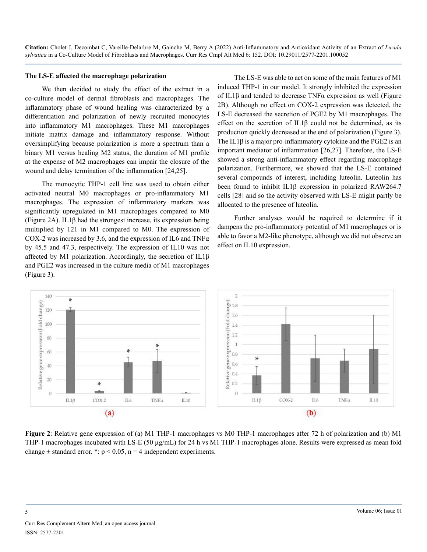#### **The LS-E affected the macrophage polarization**

We then decided to study the effect of the extract in a co-culture model of dermal fibroblasts and macrophages. The inflammatory phase of wound healing was characterized by a differentiation and polarization of newly recruited monocytes into inflammatory M1 macrophages. These M1 macrophages initiate matrix damage and inflammatory response. Without oversimplifying because polarization is more a spectrum than a binary M1 versus healing M2 status, the duration of M1 profile at the expense of M2 macrophages can impair the closure of the wound and delay termination of the inflammation [24,25].

The monocytic THP-1 cell line was used to obtain either activated neutral M0 macrophages or pro-inflammatory M1 macrophages. The expression of inflammatory markers was significantly upregulated in M1 macrophages compared to M0 (Figure 2A). IL1β had the strongest increase, its expression being multiplied by 121 in M1 compared to M0. The expression of COX-2 was increased by 3.6, and the expression of IL6 and TNF $\alpha$ by 45.5 and 47.3, respectively. The expression of IL10 was not affected by M1 polarization. Accordingly, the secretion of IL1β and PGE2 was increased in the culture media of M1 macrophages (Figure 3).

The LS-E was able to act on some of the main features of M1 induced THP-1 in our model. It strongly inhibited the expression of IL1β and tended to decrease TNFα expression as well (Figure 2B). Although no effect on COX-2 expression was detected, the LS-E decreased the secretion of PGE2 by M1 macrophages. The effect on the secretion of IL1β could not be determined, as its production quickly decreased at the end of polarization (Figure 3). The IL1β is a major pro-inflammatory cytokine and the PGE2 is an important mediator of inflammation [26,27]. Therefore, the LS-E showed a strong anti-inflammatory effect regarding macrophage polarization. Furthermore, we showed that the LS-E contained several compounds of interest, including luteolin. Luteolin has been found to inhibit IL1β expression in polarized RAW264.7 cells [28] and so the activity observed with LS-E might partly be allocated to the presence of luteolin.

Further analyses would be required to determine if it dampens the pro-inflammatory potential of M1 macrophages or is able to favor a M2-like phenotype, although we did not observe an effect on IL10 expression.



**Figure 2**: Relative gene expression of (a) M1 THP-1 macrophages vs M0 THP-1 macrophages after 72 h of polarization and (b) M1 THP-1 macrophages incubated with LS-E (50  $\mu$ g/mL) for 24 h vs M1 THP-1 macrophages alone. Results were expressed as mean fold change  $\pm$  standard error. \*: p < 0.05, n = 4 independent experiments.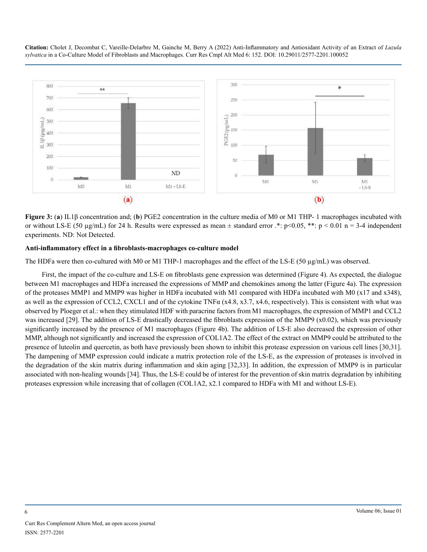

**Figure 3:** (**a**) IL1β concentration and; (**b**) PGE2 concentration in the culture media of M0 or M1 THP- 1 macrophages incubated with or without LS-E (50 µg/mL) for 24 h. Results were expressed as mean  $\pm$  standard error  $.*$ : p<0.05, \*\*: p < 0.01 n = 3-4 independent experiments. ND: Not Detected.

#### **Anti-inflammatory effect in a fibroblasts-macrophages co-culture model**

The HDFa were then co-cultured with M0 or M1 THP-1 macrophages and the effect of the LS-E (50 µg/mL) was observed.

First, the impact of the co-culture and LS-E on fibroblasts gene expression was determined (Figure 4). As expected, the dialogue between M1 macrophages and HDFa increased the expressions of MMP and chemokines among the latter (Figure 4a). The expression of the proteases MMP1 and MMP9 was higher in HDFa incubated with M1 compared with HDFa incubated with M0 (x17 and x348), as well as the expression of CCL2, CXCL1 and of the cytokine TNF $\alpha$  (x4.8, x3.7, x4.6, respectively). This is consistent with what was observed by Ploeger et al.: when they stimulated HDF with paracrine factors from M1 macrophages, the expression of MMP1 and CCL2 was increased [29]. The addition of LS-E drastically decreased the fibroblasts expression of the MMP9 (x0.02), which was previously significantly increased by the presence of M1 macrophages (Figure 4b). The addition of LS-E also decreased the expression of other MMP, although not significantly and increased the expression of COL1A2. The effect of the extract on MMP9 could be attributed to the presence of luteolin and quercetin, as both have previously been shown to inhibit this protease expression on various cell lines [30,31]. The dampening of MMP expression could indicate a matrix protection role of the LS-E, as the expression of proteases is involved in the degradation of the skin matrix during inflammation and skin aging [32,33]. In addition, the expression of MMP9 is in particular associated with non-healing wounds [34]. Thus, the LS-E could be of interest for the prevention of skin matrix degradation by inhibiting proteases expression while increasing that of collagen (COL1A2, x2.1 compared to HDFa with M1 and without LS-E).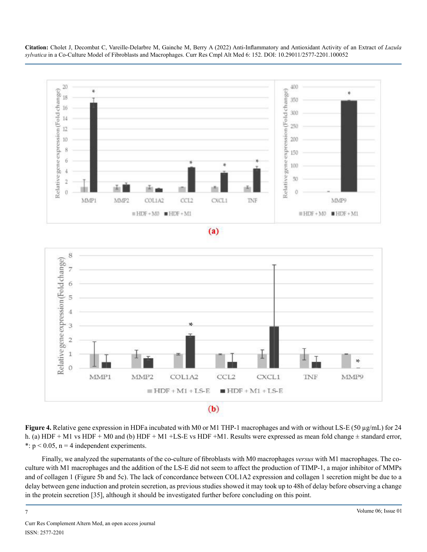





**Figure 4.** Relative gene expression in HDFa incubated with M0 or M1 THP-1 macrophages and with or without LS-E (50 µg/mL) for 24 h. (a) HDF + M1 vs HDF + M0 and (b) HDF + M1 +LS-E vs HDF + M1. Results were expressed as mean fold change  $\pm$  standard error, \*:  $p < 0.05$ ,  $n = 4$  independent experiments.

Finally, we analyzed the supernatants of the co-culture of fibroblasts with M0 macrophages *versus* with M1 macrophages. The coculture with M1 macrophages and the addition of the LS-E did not seem to affect the production of TIMP-1, a major inhibitor of MMPs and of collagen 1 (Figure 5b and 5c). The lack of concordance between COL1A2 expression and collagen 1 secretion might be due to a delay between gene induction and protein secretion, as previous studies showed it may took up to 48h of delay before observing a change in the protein secretion [35], although it should be investigated further before concluding on this point.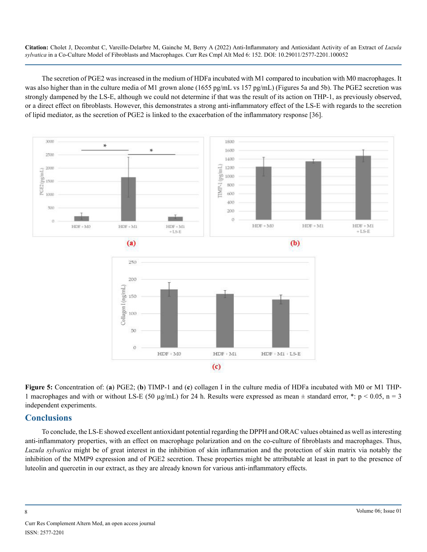The secretion of PGE2 was increased in the medium of HDFa incubated with M1 compared to incubation with M0 macrophages. It was also higher than in the culture media of M1 grown alone (1655 pg/mL vs 157 pg/mL) (Figures 5a and 5b). The PGE2 secretion was strongly dampened by the LS-E, although we could not determine if that was the result of its action on THP-1, as previously observed, or a direct effect on fibroblasts. However, this demonstrates a strong anti-inflammatory effect of the LS-E with regards to the secretion of lipid mediator, as the secretion of PGE2 is linked to the exacerbation of the inflammatory response [36].



**Figure 5:** Concentration of: (**a**) PGE2; (**b**) TIMP-1 and (**c**) collagen I in the culture media of HDFa incubated with M0 or M1 THP-1 macrophages and with or without LS-E (50  $\mu$ g/mL) for 24 h. Results were expressed as mean  $\pm$  standard error, \*: p < 0.05, n = 3 independent experiments.

# **Conclusions**

To conclude, the LS-E showed excellent antioxidant potential regarding the DPPH and ORAC values obtained as well as interesting anti-inflammatory properties, with an effect on macrophage polarization and on the co-culture of fibroblasts and macrophages. Thus, *Luzula sylvatica* might be of great interest in the inhibition of skin inflammation and the protection of skin matrix via notably the inhibition of the MMP9 expression and of PGE2 secretion. These properties might be attributable at least in part to the presence of luteolin and quercetin in our extract, as they are already known for various anti-inflammatory effects.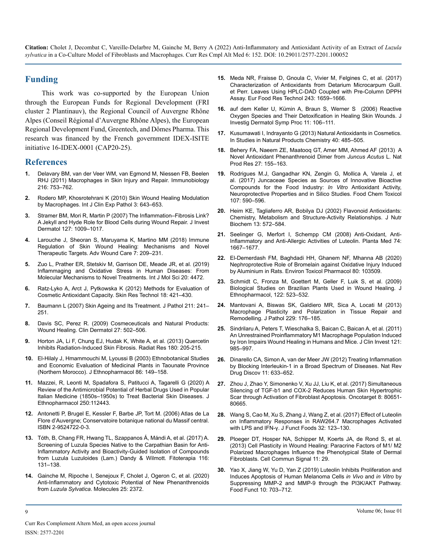## **Funding**

This work was co-supported by the European Union through the European Funds for Regional Development (FRI cluster 2 Plantinauv), the Regional Council of Auvergne Rhône Alpes (Conseil Régional d'Auvergne Rhône Alpes), the European Regional Development Fund, Greentech, and Dômes Pharma. This research was financed by the French government IDEX-ISITE initiative 16-IDEX-0001 (CAP20-25).

#### **References**

- **1.** [Delavary BM, van der Veer WM, van Egmond M, Niessen FB, Beelen](https://pubmed.ncbi.nlm.nih.gov/21281986/)  [RHJ \(2011\) Macrophages in Skin Injury and Repair. Immunobiology](https://pubmed.ncbi.nlm.nih.gov/21281986/)  [216: 753–762.](https://pubmed.ncbi.nlm.nih.gov/21281986/)
- **2.** [Rodero MP, Khosrotehrani K \(2010\) Skin Wound Healing Modulation](https://pubmed.ncbi.nlm.nih.gov/20830235/)  [by Macrophages. Int J Clin Exp Pathol 3: 643–653.](https://pubmed.ncbi.nlm.nih.gov/20830235/)
- **3.** [Stramer BM, Mori R, Martin P \(2007\) The Inflammation–Fibrosis Link?](https://pubmed.ncbi.nlm.nih.gov/17435786/)  [A Jekyll and Hyde Role for Blood Cells during Wound Repair. J Invest](https://pubmed.ncbi.nlm.nih.gov/17435786/) [Dermatol 127: 1009–1017.](https://pubmed.ncbi.nlm.nih.gov/17435786/)
- **4.** [Larouche J, Sheoran S, Maruyama K, Martino MM \(2018\) Immune](https://pubmed.ncbi.nlm.nih.gov/29984112/)  [Regulation of Skin Wound Healing: Mechanisms and Novel](https://pubmed.ncbi.nlm.nih.gov/29984112/)  [Therapeutic Targets. Adv Wound Care 7: 209–231.](https://pubmed.ncbi.nlm.nih.gov/29984112/)
- **5.** [Zuo L, Prather ER, Stetskiv M, Garrison DE, Meade JR, et al. \(2019\)](https://pubmed.ncbi.nlm.nih.gov/31510091/)  [Inflammaging and Oxidative Stress in Human Diseases: From](https://pubmed.ncbi.nlm.nih.gov/31510091/)  [Molecular Mechanisms to Novel Treatments. Int J Mol Sci 20: 4472.](https://pubmed.ncbi.nlm.nih.gov/31510091/)
- **6.** [Ratz-Lyko A, Arct J, Pytkowska K \(2012\) Methods for Evaluation of](https://pubmed.ncbi.nlm.nih.gov/22093040/)  [Cosmetic Antioxidant Capacity. Skin Res Technol 18: 421–430](https://pubmed.ncbi.nlm.nih.gov/22093040/).
- **7.** [Baumann L \(2007\) Skin Ageing and Its Treatment. J Pathol 211: 241–](https://pubmed.ncbi.nlm.nih.gov/17200942/) [251](https://pubmed.ncbi.nlm.nih.gov/17200942/).
- **8.** [Davis SC, Perez R. \(2009\) Cosmeceuticals and Natural Products:](https://pubmed.ncbi.nlm.nih.gov/19695483/)  [Wound Healing. Clin Dermatol 27: 502–506](https://pubmed.ncbi.nlm.nih.gov/19695483/).
- **9.** [Horton JA, Li F, Chung EJ, Hudak K, White A, et al. \(2013\) Quercetin](https://pubmed.ncbi.nlm.nih.gov/23819596/)  [Inhibits Radiation-Induced Skin Fibrosis. Radiat Res 180: 205-215](https://pubmed.ncbi.nlm.nih.gov/23819596/).
- **10.** [El-Hilaly J, Hmammouchi M, Lyoussi B \(2003\) Ethnobotanical Studies](https://pubmed.ncbi.nlm.nih.gov/12738079/)  [and Economic Evaluation of Medicinal Plants in Taounate Province](https://pubmed.ncbi.nlm.nih.gov/12738079/)  [\(Northern Morocco\). J Ethnopharmacol 86: 149–158](https://pubmed.ncbi.nlm.nih.gov/12738079/).
- **11.** [Mazzei, R, Leonti M, Spadafora S, Patitucci A, Tagarelli G \(2020\) A](https://pubmed.ncbi.nlm.nih.gov/31790819/)  [Review of the Antimicrobial Potential of Herbal Drugs Used in Popular](https://pubmed.ncbi.nlm.nih.gov/31790819/)  [Italian Medicine \(1850s–1950s\) to Treat Bacterial Skin Diseases. J](https://pubmed.ncbi.nlm.nih.gov/31790819/) [Ethnopharmacol 250:112443](https://pubmed.ncbi.nlm.nih.gov/31790819/).
- **12.** Antonetti P, Brugel E, Kessler F, Barbe JP, Tort M. (2006) Atlas de La Flore d'Auvergne; Conservatoire botanique national du Massif central. ISBN 2-9524722-0-3.
- **13.** [Tóth, B, Chang FR, Hwang TL, Szappanos Á, Mándi A, et al. \(2017\) A.](https://pubmed.ncbi.nlm.nih.gov/27940118/) [Screening of Luzula Species Native to the Carpathian Basin for Anti-](https://pubmed.ncbi.nlm.nih.gov/27940118/)[Inflammatory Activity and Bioactivity-Guided Isolation of Compounds](https://pubmed.ncbi.nlm.nih.gov/27940118/)  [from Luzula Luzuloides \(Lam.\) Dandy & Wilmott. Fitoterapia 116:](https://pubmed.ncbi.nlm.nih.gov/27940118/)  [131–138](https://pubmed.ncbi.nlm.nih.gov/27940118/).
- **14.** [Gainche M, Ripoche I, Senejoux F, Cholet J, Ogeron C, et al. \(2020\)](https://pubmed.ncbi.nlm.nih.gov/32443866/)  [Anti-Inflammatory and Cytotoxic Potential of New Phenanthrenoids](https://pubmed.ncbi.nlm.nih.gov/32443866/)  from *Luzula Sylvatica*[. Molecules 25: 2372.](https://pubmed.ncbi.nlm.nih.gov/32443866/)
- **15.** [Meda NR, Fraisse D, Gnoula C, Vivier M, Felgines C, et al. \(2017\)](https://link.springer.com/article/10.1007/s00217-017-2873-7)  [Characterization of Antioxidants from Detarium Microcarpum Guill.](https://link.springer.com/article/10.1007/s00217-017-2873-7)  [et Perr. Leaves Using HPLC-DAD Coupled with Pre-Column DPPH](https://link.springer.com/article/10.1007/s00217-017-2873-7)  [Assay. Eur Food Res Technol 243: 1659–1666.](https://link.springer.com/article/10.1007/s00217-017-2873-7)
- **16.** [auf dem Keller U, Kümin A, Braun S, Werner S \(2006\) Reactive](https://pubmed.ncbi.nlm.nih.gov/17069017/)  [Oxygen Species and Their Detoxification in Healing Skin Wounds. J](https://pubmed.ncbi.nlm.nih.gov/17069017/) [Investig Dermatol Symp Proc 11: 106–111.](https://pubmed.ncbi.nlm.nih.gov/17069017/)
- **17.** [Kusumawati I, Indrayanto G \(2013\) Natural Antioxidants in Cosmetics.](https://www.sciencedirect.com/science/article/abs/pii/B9780444596031000151)  [In Studies in Natural Products Chemistry 40: 485–505](https://www.sciencedirect.com/science/article/abs/pii/B9780444596031000151).
- **18.** [Behery FA, Naeem ZE, Maatooq GT, Amer MM, Ahmed AF \(2013\) A](https://pubmed.ncbi.nlm.nih.gov/22360833/) [Novel Antioxidant Phenanthrenoid Dimer from](https://pubmed.ncbi.nlm.nih.gov/22360833/) *Juncus Acutus* L. Nat [Prod Res 27: 155–163](https://pubmed.ncbi.nlm.nih.gov/22360833/).
- **19.** [Rodrigues M.J, Gangadhar KN, Zengin G, Mollica A, Varela J, et](https://pubmed.ncbi.nlm.nih.gov/28400325/) [al. \(2017\) Juncaceae Species as Sources of Innovative Bioactive](https://pubmed.ncbi.nlm.nih.gov/28400325/)  [Compounds for the Food Industry:](https://pubmed.ncbi.nlm.nih.gov/28400325/) *In Vitro* Antioxidant Activity, [Neuroprotective Properties and in Silico Studies. Food Chem Toxicol](https://pubmed.ncbi.nlm.nih.gov/28400325/) [107: 590–596.](https://pubmed.ncbi.nlm.nih.gov/28400325/)
- **20.** [Heim KE, Tagliaferro AR, Bobilya DJ \(2002\) Flavonoid Antioxidants:](https://pubmed.ncbi.nlm.nih.gov/12550068/)  [Chemistry, Metabolism and Structure-Activity Relationships. J Nutr](https://pubmed.ncbi.nlm.nih.gov/12550068/)  [Biochem 13: 572–584](https://pubmed.ncbi.nlm.nih.gov/12550068/).
- **21.** [Seelinger G, Merfort I, Schempp CM \(2008\) Anti-Oxidant, Anti-](https://pubmed.ncbi.nlm.nih.gov/18937165/)[Inflammatory and Anti-Allergic Activities of Luteolin. Planta Med 74:](https://pubmed.ncbi.nlm.nih.gov/18937165/)  [1667–1677](https://pubmed.ncbi.nlm.nih.gov/18937165/).
- **22.** [El-Demerdash FM, Baghdadi HH, Ghanem NF, Mhanna AB \(2020\)](https://pubmed.ncbi.nlm.nih.gov/33010469/)  [Nephroprotective Role of Bromelain against Oxidative Injury Induced](https://pubmed.ncbi.nlm.nih.gov/33010469/)  [by Aluminium in Rats. Environ Toxicol Pharmacol 80: 103509](https://pubmed.ncbi.nlm.nih.gov/33010469/).
- **23.** [Schmidt C, Fronza M, Goettert M, Geller F, Luik S, et al. \(2009\)](https://pubmed.ncbi.nlm.nih.gov/19429323/)  [Biological Studies on Brazilian Plants Used in Wound Healing. J](https://pubmed.ncbi.nlm.nih.gov/19429323/)  [Ethnopharmacol, 122: 523–532.](https://pubmed.ncbi.nlm.nih.gov/19429323/)
- **24.** [Mantovani A, Biswas SK, Galdiero MR, Sica A, Locati M \(2013\)](https://pubmed.ncbi.nlm.nih.gov/23096265/)  [Macrophage Plasticity and Polarization in Tissue Repair and](https://pubmed.ncbi.nlm.nih.gov/23096265/)  [Remodelling. J Pathol 229: 176–185](https://pubmed.ncbi.nlm.nih.gov/23096265/).
- **25.** [Sindrilaru A, Peters T, Wieschalka S, Baican C, Baican A, et al. \(2011\)](https://pubmed.ncbi.nlm.nih.gov/21317534/)  [An Unrestrained Proinflammatory M1 Macrophage Population Induced](https://pubmed.ncbi.nlm.nih.gov/21317534/)  [by Iron Impairs Wound Healing in Humans and Mice. J Clin Invest 121:](https://pubmed.ncbi.nlm.nih.gov/21317534/) [985–997](https://pubmed.ncbi.nlm.nih.gov/21317534/).
- **26.** [Dinarello CA, Simon A, van der Meer JW \(2012\) Treating Inflammation](https://pubmed.ncbi.nlm.nih.gov/22850787/)  [by Blocking Interleukin-1 in a Broad Spectrum of Diseases. Nat Rev](https://pubmed.ncbi.nlm.nih.gov/22850787/)  [Drug Discov 11: 633–652.](https://pubmed.ncbi.nlm.nih.gov/22850787/)
- **27.** [Zhou J, Zhao Y, Simonenko V, Xu JJ, Liu K, et al. \(2017\) Simultaneous](https://pubmed.ncbi.nlm.nih.gov/29113333/)  [Silencing of TGF-b1 and COX-2 Reduces Human Skin Hypertrophic](https://pubmed.ncbi.nlm.nih.gov/29113333/)  [Scar through Activation of Fibroblast Apoptosis. Oncotarget 8: 80651-](https://pubmed.ncbi.nlm.nih.gov/29113333/) [80665](https://pubmed.ncbi.nlm.nih.gov/29113333/).
- **28.** [Wang S, Cao M, Xu S, Zhang J, Wang Z, et al. \(2017\) Effect of Luteolin](https://www.sciencedirect.com/science/article/abs/pii/S1756464617300907)  [on Inflammatory Responses in RAW264.7 Macrophages Activated](https://www.sciencedirect.com/science/article/abs/pii/S1756464617300907)  [with LPS and IFN-γ. J Funct Foods 32: 123–130](https://www.sciencedirect.com/science/article/abs/pii/S1756464617300907).
- **29.** [Ploeger DT, Hosper NA, Schipper M, Koerts JA, de Rond S, et al.](https://pubmed.ncbi.nlm.nih.gov/23601247/) [\(2013\) Cell Plasticity in Wound Healing: Paracrine Factors of M1/ M2](https://pubmed.ncbi.nlm.nih.gov/23601247/)  [Polarized Macrophages Influence the Phenotypical State of Dermal](https://pubmed.ncbi.nlm.nih.gov/23601247/)  [Fibroblasts. Cell Commun Signal 11: 29](https://pubmed.ncbi.nlm.nih.gov/23601247/).
- **30.** [Yao X, Jiang W, Yu D, Yan Z \(2019\) Luteolin Inhibits Proliferation and](https://pubmed.ncbi.nlm.nih.gov/30663726/)  [Induces Apoptosis of Human Melanoma Cells](https://pubmed.ncbi.nlm.nih.gov/30663726/) *in Vivo* and *in Vitro* by [Suppressing MMP-2 and MMP-9 through the PI3K/AKT Pathway.](https://pubmed.ncbi.nlm.nih.gov/30663726/) [Food Funct 10: 703–712](https://pubmed.ncbi.nlm.nih.gov/30663726/).